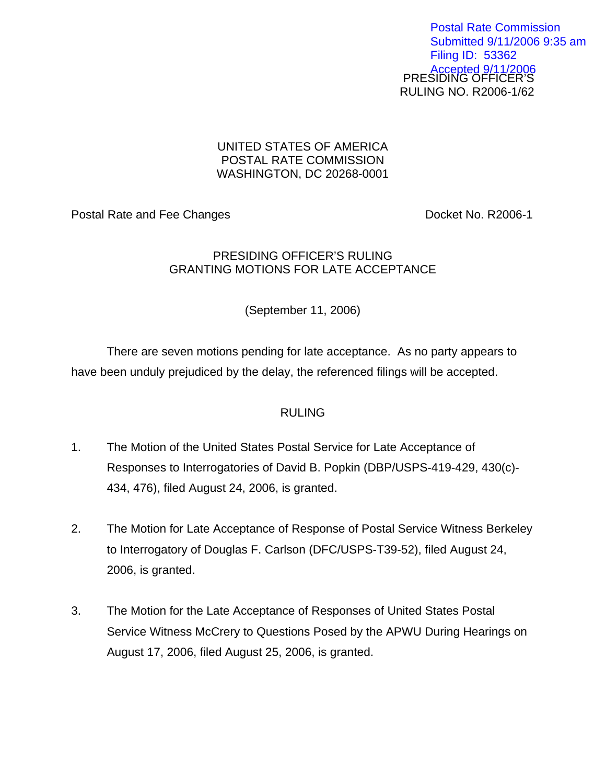PRESIDING OFFICER'S RULING NO. R2006-1/62 Postal Rate Commission Submitted 9/11/2006 9:35 am Filing ID: 53362 Accepted 9/11/2006

## UNITED STATES OF AMERICA POSTAL RATE COMMISSION WASHINGTON, DC 20268-0001

Postal Rate and Fee Changes **Docket No. R2006-1** 

## PRESIDING OFFICER'S RULING GRANTING MOTIONS FOR LATE ACCEPTANCE

(September 11, 2006)

There are seven motions pending for late acceptance. As no party appears to have been unduly prejudiced by the delay, the referenced filings will be accepted.

## RULING

- 1. The Motion of the United States Postal Service for Late Acceptance of Responses to Interrogatories of David B. Popkin (DBP/USPS-419-429, 430(c)- 434, 476), filed August 24, 2006, is granted.
- 2. The Motion for Late Acceptance of Response of Postal Service Witness Berkeley to Interrogatory of Douglas F. Carlson (DFC/USPS-T39-52), filed August 24, 2006, is granted.
- 3. The Motion for the Late Acceptance of Responses of United States Postal Service Witness McCrery to Questions Posed by the APWU During Hearings on August 17, 2006, filed August 25, 2006, is granted.